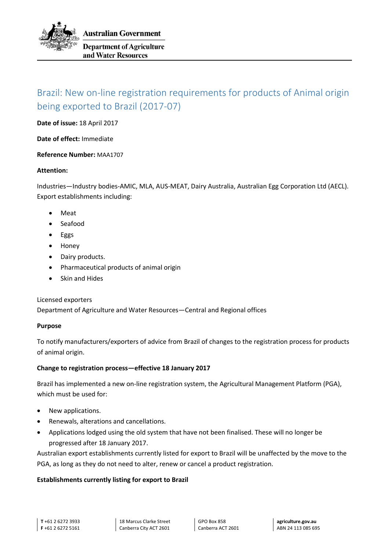

# Brazil: New on-line registration requirements for products of Animal origin being exported to Brazil (2017-07)

**Date of issue:** 18 April 2017

**Date of effect:** Immediate

**Reference Number:** MAA1707

#### **Attention:**

Industries—Industry bodies-AMIC, MLA, AUS-MEAT, Dairy Australia, Australian Egg Corporation Ltd (AECL). Export establishments including:

- Meat
- Seafood
- Eggs
- Honey
- Dairy products.
- Pharmaceutical products of animal origin
- Skin and Hides

### Licensed exporters

Department of Agriculture and Water Resources—Central and Regional offices

### **Purpose**

To notify manufacturers/exporters of advice from Brazil of changes to the registration process for products of animal origin.

### **Change to registration process—effective 18 January 2017**

Brazil has implemented a new on-line registration system, the Agricultural Management Platform (PGA), which must be used for:

- New applications.
- Renewals, alterations and cancellations.
- Applications lodged using the old system that have not been finalised. These will no longer be progressed after 18 January 2017.

Australian export establishments currently listed for export to Brazil will be unaffected by the move to the PGA, as long as they do not need to alter, renew or cancel a product registration.

### **Establishments currently listing for export to Brazil**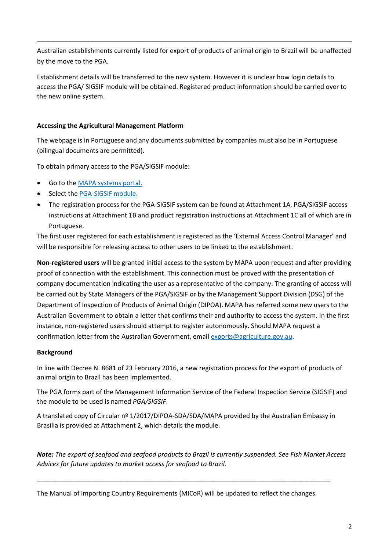Australian establishments currently listed for export of products of animal origin to Brazil will be unaffected by the move to the PGA.

Establishment details will be transferred to the new system. However it is unclear how login details to access the PGA/ SIGSIF module will be obtained. Registered product information should be carried over to the new online system.

## **Accessing the Agricultural Management Platform**

The webpage is in Portuguese and any documents submitted by companies must also be in Portuguese (bilingual documents are permitted).

To obtain primary access to the PGA/SIGSIF module:

- Go to the [MAPA systems portal.](http://sistemasweb.agricultura.gov.br/)
- Select th[e PGA-SIGSIF module.](http://sistemasweb.agricultura.gov.br/pages/PGA-SIGSIF.html)
- The registration process for the PGA-SIGSIF system can be found at Attachment 1A, PGA/SIGSIF access instructions at Attachment 1B and product registration instructions at Attachment 1C all of which are in Portuguese.

The first user registered for each establishment is registered as the 'External Access Control Manager' and will be responsible for releasing access to other users to be linked to the establishment.

**Non-registered users** will be granted initial access to the system by MAPA upon request and after providing proof of connection with the establishment. This connection must be proved with the presentation of company documentation indicating the user as a representative of the company. The granting of access will be carried out by State Managers of the PGA/SIGSIF or by the Management Support Division (DSG) of the Department of Inspection of Products of Animal Origin (DIPOA). MAPA has referred some new users to the Australian Government to obtain a letter that confirms their and authority to access the system. In the first instance, non-registered users should attempt to register autonomously. Should MAPA request a confirmation letter from the Australian Government, email [exports@agriculture.gov.au.](mailto:exports@agriculture.gov.au)

### **Background**

In line with Decree N. 8681 of 23 February 2016, a new registration process for the export of products of animal origin to Brazil has been implemented.

The PGA forms part of the Management Information Service of the Federal Inspection Service (SIGSIF) and the module to be used is named *PGA/SIGSIF*.

A translated copy of Circular nº 1/2017/DIPOA-SDA/SDA/MAPA provided by the Australian Embassy in Brasilia is provided at Attachment 2, which details the module.

*Note: The export of seafood and seafood products to Brazil is currently suspended. See Fish Market Access Advices for future updates to market access for seafood to Brazil.*

The Manual of Importing Country Requirements (MICoR) will be updated to reflect the changes.

\_\_\_\_\_\_\_\_\_\_\_\_\_\_\_\_\_\_\_\_\_\_\_\_\_\_\_\_\_\_\_\_\_\_\_\_\_\_\_\_\_\_\_\_\_\_\_\_\_\_\_\_\_\_\_\_\_\_\_\_\_\_\_\_\_\_\_\_\_\_\_\_\_\_\_\_\_\_\_\_\_\_